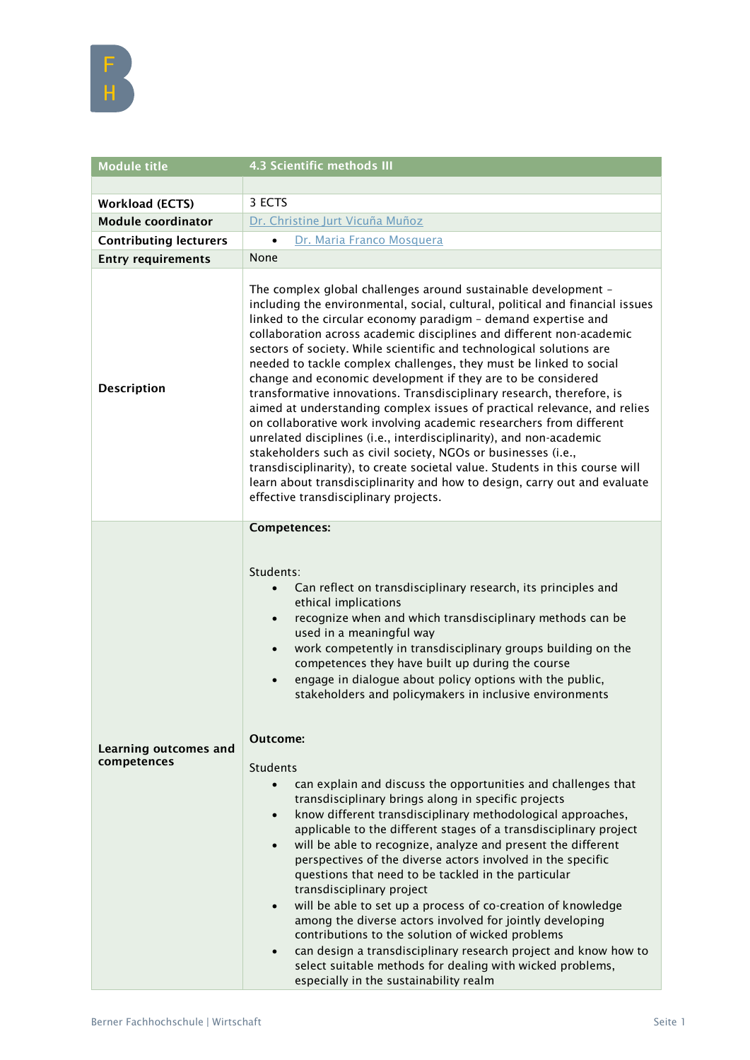

| <b>Module title</b>                         | 4.3 Scientific methods III                                                                                                                                                                                                                                                                                                                                                                                                                                                                                                                                                                                                                                                                                                                                                                                                                                                                                                                                                                                                                                                                                                                                                                                                                                                                                                                                                                                                                                        |
|---------------------------------------------|-------------------------------------------------------------------------------------------------------------------------------------------------------------------------------------------------------------------------------------------------------------------------------------------------------------------------------------------------------------------------------------------------------------------------------------------------------------------------------------------------------------------------------------------------------------------------------------------------------------------------------------------------------------------------------------------------------------------------------------------------------------------------------------------------------------------------------------------------------------------------------------------------------------------------------------------------------------------------------------------------------------------------------------------------------------------------------------------------------------------------------------------------------------------------------------------------------------------------------------------------------------------------------------------------------------------------------------------------------------------------------------------------------------------------------------------------------------------|
|                                             |                                                                                                                                                                                                                                                                                                                                                                                                                                                                                                                                                                                                                                                                                                                                                                                                                                                                                                                                                                                                                                                                                                                                                                                                                                                                                                                                                                                                                                                                   |
| <b>Workload (ECTS)</b>                      | 3 ECTS                                                                                                                                                                                                                                                                                                                                                                                                                                                                                                                                                                                                                                                                                                                                                                                                                                                                                                                                                                                                                                                                                                                                                                                                                                                                                                                                                                                                                                                            |
| <b>Module coordinator</b>                   | Dr. Christine Jurt Vicuña Muñoz                                                                                                                                                                                                                                                                                                                                                                                                                                                                                                                                                                                                                                                                                                                                                                                                                                                                                                                                                                                                                                                                                                                                                                                                                                                                                                                                                                                                                                   |
| <b>Contributing lecturers</b>               | Dr. Maria Franco Mosquera<br>$\bullet$                                                                                                                                                                                                                                                                                                                                                                                                                                                                                                                                                                                                                                                                                                                                                                                                                                                                                                                                                                                                                                                                                                                                                                                                                                                                                                                                                                                                                            |
| <b>Entry requirements</b>                   | None                                                                                                                                                                                                                                                                                                                                                                                                                                                                                                                                                                                                                                                                                                                                                                                                                                                                                                                                                                                                                                                                                                                                                                                                                                                                                                                                                                                                                                                              |
| <b>Description</b>                          | The complex global challenges around sustainable development -<br>including the environmental, social, cultural, political and financial issues<br>linked to the circular economy paradigm - demand expertise and<br>collaboration across academic disciplines and different non-academic<br>sectors of society. While scientific and technological solutions are<br>needed to tackle complex challenges, they must be linked to social<br>change and economic development if they are to be considered<br>transformative innovations. Transdisciplinary research, therefore, is<br>aimed at understanding complex issues of practical relevance, and relies<br>on collaborative work involving academic researchers from different<br>unrelated disciplines (i.e., interdisciplinarity), and non-academic<br>stakeholders such as civil society, NGOs or businesses (i.e.,<br>transdisciplinarity), to create societal value. Students in this course will<br>learn about transdisciplinarity and how to design, carry out and evaluate<br>effective transdisciplinary projects.                                                                                                                                                                                                                                                                                                                                                                                 |
| <b>Learning outcomes and</b><br>competences | <b>Competences:</b><br>Students:<br>Can reflect on transdisciplinary research, its principles and<br>$\bullet$<br>ethical implications<br>recognize when and which transdisciplinary methods can be<br>$\bullet$<br>used in a meaningful way<br>work competently in transdisciplinary groups building on the<br>$\bullet$<br>competences they have built up during the course<br>engage in dialogue about policy options with the public,<br>$\bullet$<br>stakeholders and policymakers in inclusive environments<br><b>Outcome:</b><br><b>Students</b><br>can explain and discuss the opportunities and challenges that<br>$\bullet$<br>transdisciplinary brings along in specific projects<br>know different transdisciplinary methodological approaches,<br>$\bullet$<br>applicable to the different stages of a transdisciplinary project<br>will be able to recognize, analyze and present the different<br>$\bullet$<br>perspectives of the diverse actors involved in the specific<br>questions that need to be tackled in the particular<br>transdisciplinary project<br>will be able to set up a process of co-creation of knowledge<br>$\bullet$<br>among the diverse actors involved for jointly developing<br>contributions to the solution of wicked problems<br>can design a transdisciplinary research project and know how to<br>$\bullet$<br>select suitable methods for dealing with wicked problems,<br>especially in the sustainability realm |